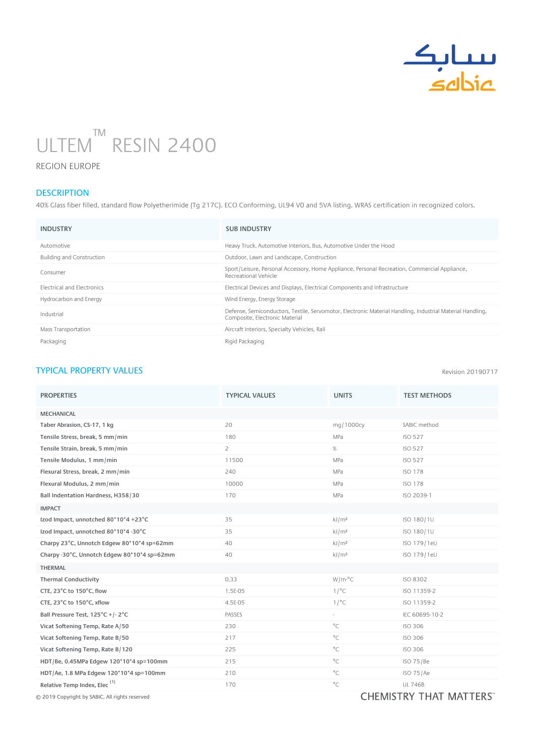

## ULTEM RESIN 2400 ™ n

REGION EUROPE

## **DESCRIPTION**

40% Glass fiber filled, standard flow Polyetherimide (Tg 217C). ECO Conforming, UL94 V0 and 5VA listing. WRAS certification in recognized colors.

| <b>INDUSTRY</b>                   | <b>SUB INDUSTRY</b>                                                                                                                         |
|-----------------------------------|---------------------------------------------------------------------------------------------------------------------------------------------|
| Automotive                        | Heavy Truck, Automotive Interiors, Bus, Automotive Under the Hood                                                                           |
| <b>Building and Construction</b>  | Outdoor, Lawn and Landscape, Construction                                                                                                   |
| Consumer                          | Sport/Leisure, Personal Accessory, Home Appliance, Personal Recreation, Commercial Appliance,<br>Recreational Vehicle                       |
| <b>Flectrical and Flectronics</b> | Electrical Devices and Displays, Electrical Components and Infrastructure                                                                   |
| Hydrocarbon and Energy            | Wind Energy, Energy Storage                                                                                                                 |
| Industrial                        | Defense, Semiconductors, Textile, Servomotor, Electronic Material Handling, Industrial Material Handling,<br>Composite, Electronic Material |
| Mass Transportation               | Aircraft Interiors, Specialty Vehicles, Rail                                                                                                |
| Packaging                         | Rigid Packaging                                                                                                                             |

## TYPICAL PROPERTY VALUES

Revision 20190717

| <b>PROPERTIES</b>                           | <b>TYPICAL VALUES</b> | <b>UNITS</b>      | <b>TEST METHODS</b>                                                                                                                                                                                                                                                                                                                                                                                                    |
|---------------------------------------------|-----------------------|-------------------|------------------------------------------------------------------------------------------------------------------------------------------------------------------------------------------------------------------------------------------------------------------------------------------------------------------------------------------------------------------------------------------------------------------------|
| <b>MECHANICAL</b>                           |                       |                   |                                                                                                                                                                                                                                                                                                                                                                                                                        |
| Taber Abrasion, CS-17, 1 kg                 | 20                    | mg/1000cy         | SABIC method                                                                                                                                                                                                                                                                                                                                                                                                           |
| Tensile Stress, break, 5 mm/min             | 180                   | MPa               | <b>ISO 527</b>                                                                                                                                                                                                                                                                                                                                                                                                         |
| Tensile Strain, break, 5 mm/min             | $\overline{2}$        | $\%$              | <b>ISO 527</b>                                                                                                                                                                                                                                                                                                                                                                                                         |
| Tensile Modulus, 1 mm/min                   | 11500                 | MPa               | <b>ISO 527</b>                                                                                                                                                                                                                                                                                                                                                                                                         |
| Flexural Stress, break, 2 mm/min            | 240                   | MPa               | <b>ISO 178</b>                                                                                                                                                                                                                                                                                                                                                                                                         |
| Flexural Modulus, 2 mm/min                  | 10000                 | MPa               | <b>ISO 178</b>                                                                                                                                                                                                                                                                                                                                                                                                         |
| Ball Indentation Hardness, H358/30          | 170                   | MPa               | ISO 2039-1                                                                                                                                                                                                                                                                                                                                                                                                             |
| <b>IMPACT</b>                               |                       |                   |                                                                                                                                                                                                                                                                                                                                                                                                                        |
| Izod Impact, unnotched 80*10*4 +23°C        | 35                    | kJ/m <sup>2</sup> | ISO 180/1U                                                                                                                                                                                                                                                                                                                                                                                                             |
| Izod Impact, unnotched 80*10*4 -30°C        | 35                    | kJ/m <sup>2</sup> | ISO 180/1U                                                                                                                                                                                                                                                                                                                                                                                                             |
| Charpy 23°C, Unnotch Edgew 80*10*4 sp=62mm  | 40                    | kJ/m <sup>2</sup> | ISO 179/1eU                                                                                                                                                                                                                                                                                                                                                                                                            |
| Charpy -30°C, Unnotch Edgew 80*10*4 sp=62mm | 40                    | kJ/m <sup>2</sup> | ISO 179/1eU                                                                                                                                                                                                                                                                                                                                                                                                            |
| <b>THERMAL</b>                              |                       |                   |                                                                                                                                                                                                                                                                                                                                                                                                                        |
| <b>Thermal Conductivity</b>                 | 0.33                  | $W/m-C$           | ISO 8302                                                                                                                                                                                                                                                                                                                                                                                                               |
| CTE, 23°C to 150°C, flow                    | 1.5E-05               | 1/°C              | ISO 11359-2                                                                                                                                                                                                                                                                                                                                                                                                            |
| CTE, 23°C to 150°C, xflow                   | 4.5E-05               | 1/°C              | ISO 11359-2                                                                                                                                                                                                                                                                                                                                                                                                            |
| Ball Pressure Test, 125°C +/-2°C            | PASSES                | $\sim$            | IEC 60695-10-2                                                                                                                                                                                                                                                                                                                                                                                                         |
| Vicat Softening Temp, Rate A/50             | 230                   | $^{\circ}$ C      | <b>ISO 306</b>                                                                                                                                                                                                                                                                                                                                                                                                         |
| Vicat Softening Temp, Rate B/50             | 217                   | $^{\circ}$ C      | <b>ISO 306</b>                                                                                                                                                                                                                                                                                                                                                                                                         |
| Vicat Softening Temp, Rate B/120            | 225                   | $^{\circ}$ C      | <b>ISO 306</b>                                                                                                                                                                                                                                                                                                                                                                                                         |
| HDT/Be, 0.45MPa Edgew 120*10*4 sp=100mm     | 215                   | $^{\circ}$ C      | ISO 75/Be                                                                                                                                                                                                                                                                                                                                                                                                              |
| HDT/Ae, 1.8 MPa Edgew 120*10*4 sp=100mm     | 210                   | $^{\circ}$ C      | ISO 75/Ae                                                                                                                                                                                                                                                                                                                                                                                                              |
| Relative Temp Index, Elec <sup>(1)</sup>    | 170                   | $^{\circ}$ C      | <b>UL 746B</b>                                                                                                                                                                                                                                                                                                                                                                                                         |
|                                             |                       |                   | $\mathbf{A} \mathbf{A} \mathbf{A} \mathbf{A} \mathbf{A} \mathbf{A} \mathbf{A} \mathbf{A} \mathbf{A} \mathbf{A} \mathbf{A} \mathbf{A} \mathbf{A} \mathbf{A} \mathbf{A} \mathbf{A} \mathbf{A} \mathbf{A} \mathbf{A} \mathbf{A} \mathbf{A} \mathbf{A} \mathbf{A} \mathbf{A} \mathbf{A} \mathbf{A} \mathbf{A} \mathbf{A} \mathbf{A} \mathbf{A} \mathbf{A} \mathbf{A} \mathbf{A} \mathbf{A} \mathbf{A} \mathbf{A} \mathbf{$ |

 $\odot$  2019 Copyright by SABIC. All rights reserved  $\blacksquare$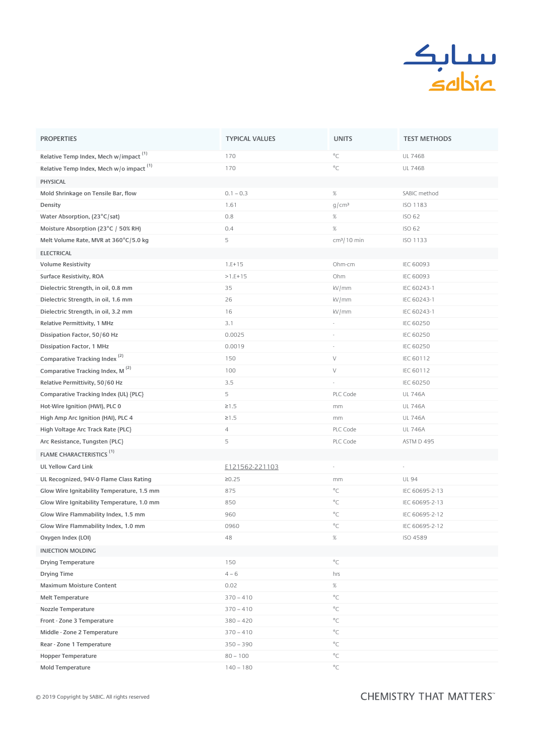

| <b>PROPERTIES</b>                                     | <b>TYPICAL VALUES</b> | <b>UNITS</b>             | <b>TEST METHODS</b> |
|-------------------------------------------------------|-----------------------|--------------------------|---------------------|
| Relative Temp Index, Mech w/impact <sup>(1)</sup>     | 170                   | $^{\circ}$ C             | <b>UL 746B</b>      |
| Relative Temp Index, Mech $w/o$ impact <sup>(1)</sup> | 170                   | $^{\circ}$ C             | <b>UL 746B</b>      |
| <b>PHYSICAL</b>                                       |                       |                          |                     |
| Mold Shrinkage on Tensile Bar, flow                   | $0.1 - 0.3$           | $\%$                     | SABIC method        |
| Density                                               | 1.61                  | g/cm <sup>3</sup>        | <b>ISO 1183</b>     |
| Water Absorption, (23°C/sat)                          | 0.8                   | $\%$                     | <b>ISO 62</b>       |
| Moisture Absorption (23°C / 50% RH)                   | 0.4                   | $\%$                     | <b>ISO 62</b>       |
| Melt Volume Rate, MVR at 360°C/5.0 kg                 | 5                     | $cm3/10$ min             | <b>ISO 1133</b>     |
| <b>ELECTRICAL</b>                                     |                       |                          |                     |
| <b>Volume Resistivity</b>                             | $1.E+15$              | Ohm-cm                   | <b>IEC 60093</b>    |
| Surface Resistivity, ROA                              | $>1.E+15$             | Ohm                      | <b>IEC 60093</b>    |
| Dielectric Strength, in oil, 0.8 mm                   | 35                    | kV/mm                    | IEC 60243-1         |
| Dielectric Strength, in oil, 1.6 mm                   | 26                    | kV/mm                    | IEC 60243-1         |
| Dielectric Strength, in oil, 3.2 mm                   | 16                    | kV/mm                    | IEC 60243-1         |
| Relative Permittivity, 1 MHz                          | 3.1                   | $\overline{\phantom{a}}$ | <b>IEC 60250</b>    |
| Dissipation Factor, 50/60 Hz                          | 0.0025                | $\overline{\phantom{a}}$ | <b>IEC 60250</b>    |
| Dissipation Factor, 1 MHz                             | 0.0019                | $\overline{\phantom{a}}$ | <b>IEC 60250</b>    |
| Comparative Tracking Index <sup>(2)</sup>             | 150                   | V                        | IEC 60112           |
| Comparative Tracking Index, M <sup>(2)</sup>          | 100                   | $\vee$                   | IEC 60112           |
| Relative Permittivity, 50/60 Hz                       | 3.5                   | à,                       | <b>IEC 60250</b>    |
| Comparative Tracking Index (UL) {PLC}                 | 5                     | PLC Code                 | <b>UL 746A</b>      |
| Hot-Wire Ignition (HWI), PLC 0                        | $\geq 1.5$            | mm                       | <b>UL 746A</b>      |
| High Amp Arc Ignition (HAI), PLC 4                    | $\geq 1.5$            | mm                       | <b>UL 746A</b>      |
| High Voltage Arc Track Rate {PLC}                     | $\overline{4}$        | PLC Code                 | <b>UL 746A</b>      |
| Arc Resistance, Tungsten {PLC}                        | 5                     | PLC Code                 | ASTM D 495          |
| <b>FLAME CHARACTERISTICS<sup>(1)</sup></b>            |                       |                          |                     |
| <b>UL Yellow Card Link</b>                            | E121562-221103        |                          |                     |
| UL Recognized, 94V-0 Flame Class Rating               | ≥0.25                 | mm                       | <b>UL 94</b>        |
| Glow Wire Ignitability Temperature, 1.5 mm            | 875                   | $^{\circ}$ C             | IEC 60695-2-13      |
| Glow Wire Ignitability Temperature, 1.0 mm            | 850                   | $^{\circ}$ C             | IEC 60695-2-13      |
| Glow Wire Flammability Index, 1.5 mm                  | 960                   | $^{\circ}$ C             | IEC 60695-2-12      |
| Glow Wire Flammability Index, 1.0 mm                  | 0960                  | $^{\circ}$ C             | IEC 60695-2-12      |
| Oxygen Index (LOI)                                    | 48                    | $\%$                     | ISO 4589            |
| <b>INJECTION MOLDING</b>                              |                       |                          |                     |
| <b>Drying Temperature</b>                             | 150                   | $^{\circ}$ C             |                     |
| Drying Time                                           | $4 - 6$               | hrs                      |                     |
| <b>Maximum Moisture Content</b>                       | 0.02                  | $\%$                     |                     |
| Melt Temperature                                      | $370 - 410$           | $^{\circ}$ C             |                     |
| Nozzle Temperature                                    | $370 - 410$           | $^{\circ}$ C             |                     |
| Front - Zone 3 Temperature                            | $380 - 420$           | $^{\circ}$ C             |                     |
| Middle - Zone 2 Temperature                           | $370 - 410$           | $^{\circ}$ C             |                     |
| Rear - Zone 1 Temperature                             | $350 - 390$           | $^{\circ}$ C             |                     |
| <b>Hopper Temperature</b>                             | $80 - 100$            | $^{\circ}$ C             |                     |
| Mold Temperature                                      | $140 - 180$           | $^{\circ}C$              |                     |